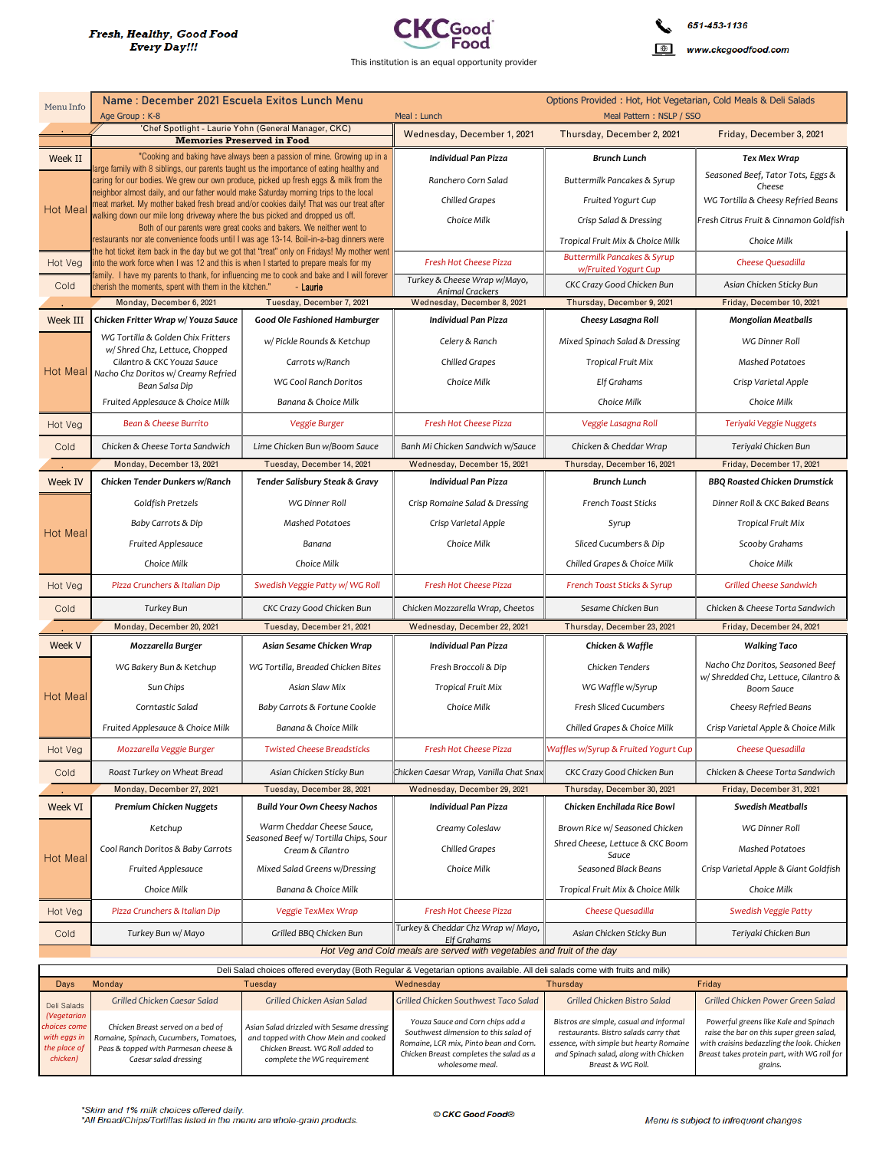

651-453-1136  $\hat{\mathbf{v}}$ 

www.ckcgoodfood.com

| Menu Info       | Name: December 2021 Escuela Exitos Lunch Menu<br>Age Group: K-8                                                                                                                    |                                                                                             | Options Provided: Hot, Hot Vegetarian, Cold Meals & Deli Salads<br>Meal Pattern: NSLP / SSO<br>Meal: Lunch |                                                          |                                                                          |
|-----------------|------------------------------------------------------------------------------------------------------------------------------------------------------------------------------------|---------------------------------------------------------------------------------------------|------------------------------------------------------------------------------------------------------------|----------------------------------------------------------|--------------------------------------------------------------------------|
|                 | 'Chef Spotlight - Laurie Yohn (General Manager, CKC)<br><b>Memories Preserved in Food</b>                                                                                          |                                                                                             | Wednesday, December 1, 2021                                                                                | Thursday, December 2, 2021                               | Friday, December 3, 2021                                                 |
| Week II         |                                                                                                                                                                                    | "Cooking and baking have always been a passion of mine. Growing up in a                     | <b>Individual Pan Pizza</b>                                                                                | Brunch Lunch                                             | Tex Mex Wrap                                                             |
|                 | large family with 8 siblings, our parents taught us the importance of eating healthy and<br>caring for our bodies. We grew our own produce, picked up fresh eggs & milk from the   |                                                                                             | Ranchero Corn Salad                                                                                        | Buttermilk Pancakes & Syrup                              | Seasoned Beef, Tator Tots, Eggs &                                        |
|                 | neighbor almost daily, and our father would make Saturday morning trips to the local                                                                                               |                                                                                             | <b>Chilled Grapes</b>                                                                                      | Fruited Yogurt Cup                                       | Cheese<br>WG Tortilla & Cheesy Refried Beans                             |
| <b>Hot Meal</b> | meat market. My mother baked fresh bread and/or cookies daily! That was our treat after<br>walking down our mile long driveway where the bus picked and dropped us off.            |                                                                                             | Choice Milk                                                                                                | Crisp Salad & Dressing                                   | Fresh Citrus Fruit & Cinnamon Goldfish                                   |
|                 | Both of our parents were great cooks and bakers. We neither went to<br>restaurants nor ate convenience foods until I was age 13-14. Boil-in-a-bag dinners were                     |                                                                                             |                                                                                                            | Tropical Fruit Mix & Choice Milk                         | Choice Milk                                                              |
| Hot Veg         |                                                                                                                                                                                    | the hot ticket item back in the day but we got that "treat" only on Fridays! My mother went |                                                                                                            | <b>Buttermilk Pancakes &amp; Syrup</b>                   | Cheese Quesadilla                                                        |
|                 | into the work force when I was 12 and this is when I started to prepare meals for my<br>family. I have my parents to thank, for influencing me to cook and bake and I will forever |                                                                                             | <b>Fresh Hot Cheese Pizza</b><br>Turkey & Cheese Wrap w/Mayo,                                              | w/Fruited Yogurt Cup                                     |                                                                          |
| Cold            | cherish the moments, spent with them in the kitchen."<br>Monday, December 6, 2021                                                                                                  | - Laurie<br>Tuesday, December 7, 2021                                                       | Animal Crackers<br>Wednesday, December 8, 2021                                                             | CKC Crazy Good Chicken Bun<br>Thursday, December 9, 2021 | Asian Chicken Sticky Bun<br>Friday, December 10, 2021                    |
| Week III        | Chicken Fritter Wrap w/ Youza Sauce                                                                                                                                                | Good Ole Fashioned Hamburger                                                                | <b>Individual Pan Pizza</b>                                                                                | Cheesy Lasagna Roll                                      | <b>Mongolian Meatballs</b>                                               |
|                 | WG Tortilla & Golden Chix Fritters                                                                                                                                                 | w/ Pickle Rounds & Ketchup                                                                  | Celery & Ranch                                                                                             | Mixed Spinach Salad & Dressing                           | WG Dinner Roll                                                           |
|                 | w/ Shred Chz, Lettuce, Chopped<br>Cilantro & CKC Youza Sauce                                                                                                                       | Carrots w/Ranch                                                                             | <b>Chilled Grapes</b>                                                                                      | <b>Tropical Fruit Mix</b>                                | <b>Mashed Potatoes</b>                                                   |
| <b>Hot Meal</b> | Nacho Chz Doritos w/ Creamy Refried                                                                                                                                                | WG Cool Ranch Doritos                                                                       | Choice Milk                                                                                                | Elf Grahams                                              | Crisp Varietal Apple                                                     |
|                 | Bean Salsa Dip<br>Fruited Applesauce & Choice Milk                                                                                                                                 | Banana & Choice Milk                                                                        |                                                                                                            | Choice Milk                                              | Choice Milk                                                              |
| Hot Veg         | Bean & Cheese Burrito                                                                                                                                                              | Veggie Burger                                                                               | Fresh Hot Cheese Pizza                                                                                     | Veggie Lasagna Roll                                      | Teriyaki Veggie Nuggets                                                  |
| Cold            | Chicken & Cheese Torta Sandwich                                                                                                                                                    | Lime Chicken Bun w/Boom Sauce                                                               | Banh Mi Chicken Sandwich w/Sauce                                                                           | Chicken & Cheddar Wrap                                   | Teriyaki Chicken Bun                                                     |
|                 | Monday, December 13, 2021                                                                                                                                                          | Tuesday, December 14, 2021                                                                  | Wednesday, December 15, 2021                                                                               | Thursday, December 16, 2021                              | Friday, December 17, 2021                                                |
| Week IV         | Chicken Tender Dunkers w/Ranch                                                                                                                                                     | Tender Salisbury Steak & Gravy                                                              | <b>Individual Pan Pizza</b>                                                                                | <b>Brunch Lunch</b>                                      | <b>BBQ Roasted Chicken Drumstick</b>                                     |
|                 | Goldfish Pretzels                                                                                                                                                                  | WG Dinner Roll                                                                              | Crisp Romaine Salad & Dressing                                                                             | <b>French Toast Sticks</b>                               | Dinner Roll & CKC Baked Beans                                            |
|                 | Baby Carrots & Dip                                                                                                                                                                 | <b>Mashed Potatoes</b>                                                                      | Crisp Varietal Apple                                                                                       | Syrup                                                    | <b>Tropical Fruit Mix</b>                                                |
| <b>Hot Meal</b> | <b>Fruited Applesauce</b>                                                                                                                                                          | Banana                                                                                      | Choice Milk                                                                                                | Sliced Cucumbers & Dip                                   | Scooby Grahams                                                           |
|                 | Choice Milk                                                                                                                                                                        | Choice Milk                                                                                 |                                                                                                            | Chilled Grapes & Choice Milk                             | Choice Milk                                                              |
| Hot Veg         | Pizza Crunchers & Italian Dip                                                                                                                                                      | Swedish Veggie Patty w/ WG Roll                                                             | Fresh Hot Cheese Pizza                                                                                     | French Toast Sticks & Syrup                              | <b>Grilled Cheese Sandwich</b>                                           |
| Cold            | Turkey Bun                                                                                                                                                                         | CKC Crazy Good Chicken Bun                                                                  | Chicken Mozzarella Wrap, Cheetos                                                                           | Sesame Chicken Bun                                       | Chicken & Cheese Torta Sandwich                                          |
|                 | Monday, December 20, 2021                                                                                                                                                          | Tuesday, December 21, 2021                                                                  | Wednesday, December 22, 2021                                                                               | Thursday, December 23, 2021                              | Friday, December 24, 2021                                                |
| Week V          | Mozzarella Burger                                                                                                                                                                  | Asian Sesame Chicken Wrap                                                                   | Individual Pan Pizza                                                                                       | Chicken & Waffle                                         | <b>Walking Taco</b>                                                      |
|                 | WG Bakery Bun & Ketchup                                                                                                                                                            | WG Tortilla, Breaded Chicken Bites                                                          | Fresh Broccoli & Dip                                                                                       | Chicken Tenders                                          | Nacho Chz Doritos, Seasoned Beef<br>w/ Shredded Chz, Lettuce, Cilantro & |
| <b>Hot Meal</b> | Sun Chips                                                                                                                                                                          | Asian Slaw Mix                                                                              | <b>Tropical Fruit Mix</b>                                                                                  | WG Waffle w/Syrup                                        | <b>Boom Sauce</b>                                                        |
|                 | Corntastic Salad                                                                                                                                                                   | Baby Carrots & Fortune Cookie                                                               | Choice Milk                                                                                                | <b>Fresh Sliced Cucumbers</b>                            | Cheesy Refried Beans                                                     |
|                 | Fruited Applesauce & Choice Milk                                                                                                                                                   | Banana & Choice Milk                                                                        |                                                                                                            | Chilled Grapes & Choice Milk                             | Crisp Varietal Apple & Choice Milk                                       |
| Hot Veg         | Mozzarella Veggie Burger                                                                                                                                                           | <b>Twisted Cheese Breadsticks</b>                                                           | Fresh Hot Cheese Pizza                                                                                     | Waffles w/Syrup & Fruited Yogurt Cup                     | <b>Cheese Quesadilla</b>                                                 |
| Cold            | Roast Turkey on Wheat Bread                                                                                                                                                        | Asian Chicken Sticky Bun                                                                    | Chicken Caesar Wrap, Vanilla Chat Snax                                                                     | CKC Crazy Good Chicken Bun                               | Chicken & Cheese Torta Sandwich                                          |
|                 | Monday, December 27, 2021                                                                                                                                                          | Tuesday, December 28, 2021                                                                  | Wednesday, December 29, 2021                                                                               | Thursday, December 30, 2021                              | Friday, December 31, 2021                                                |
| <b>Week VI</b>  | Premium Chicken Nuggets                                                                                                                                                            | <b>Build Your Own Cheesy Nachos</b>                                                         | <b>Individual Pan Pizza</b>                                                                                | Chicken Enchilada Rice Bowl                              | <b>Swedish Meatballs</b>                                                 |
| <b>Hot Meal</b> | Ketchup                                                                                                                                                                            | Warm Cheddar Cheese Sauce,<br>Seasoned Beef w/ Tortilla Chips, Sour<br>Cream & Cilantro     | Creamy Coleslaw                                                                                            | Brown Rice w/ Seasoned Chicken                           | WG Dinner Roll                                                           |
|                 | Cool Ranch Doritos & Baby Carrots                                                                                                                                                  |                                                                                             | <b>Chilled Grapes</b>                                                                                      | Shred Cheese, Lettuce & CKC Boom<br>Sauce                | Mashed Potatoes                                                          |
|                 | <b>Fruited Applesauce</b>                                                                                                                                                          | Mixed Salad Greens w/Dressing                                                               | Choice Milk                                                                                                | Seasoned Black Beans                                     | Crisp Varietal Apple & Giant Goldfish                                    |
|                 | Choice Milk                                                                                                                                                                        | Banana & Choice Milk                                                                        |                                                                                                            | Tropical Fruit Mix & Choice Milk                         | Choice Milk                                                              |
| Hot Veg         | Pizza Crunchers & Italian Dip                                                                                                                                                      | Veggie TexMex Wrap                                                                          | Fresh Hot Cheese Pizza                                                                                     | <b>Cheese Quesadilla</b>                                 | Swedish Veggie Patty                                                     |
| Cold            | Turkey Bun w/ Mayo                                                                                                                                                                 | Grilled BBQ Chicken Bun                                                                     | Turkey & Cheddar Chz Wrap w/ Mayo,<br>Elf Grahams                                                          | Asian Chicken Sticky Bun                                 | Teriyaki Chicken Bun                                                     |
|                 |                                                                                                                                                                                    |                                                                                             | Hot Veg and Cold meals are served with vegetables and fruit of the day                                     |                                                          |                                                                          |

| Deli Salad choices offered everyday (Both Regular & Vegetarian options available. All deli salads come with fruits and milk) |                                                                                                                                              |                                                                                                                                                      |                                                                                                                                                                                  |                                                                                                                                                                                           |                                                                                                                                                                                           |
|------------------------------------------------------------------------------------------------------------------------------|----------------------------------------------------------------------------------------------------------------------------------------------|------------------------------------------------------------------------------------------------------------------------------------------------------|----------------------------------------------------------------------------------------------------------------------------------------------------------------------------------|-------------------------------------------------------------------------------------------------------------------------------------------------------------------------------------------|-------------------------------------------------------------------------------------------------------------------------------------------------------------------------------------------|
| Davs                                                                                                                         | Monday                                                                                                                                       | Tuesdav                                                                                                                                              | Wednesdav                                                                                                                                                                        | Thursdav                                                                                                                                                                                  | Fridav                                                                                                                                                                                    |
| Deli Salads                                                                                                                  | Grilled Chicken Caesar Salad                                                                                                                 | Grilled Chicken Asian Salad                                                                                                                          | Grilled Chicken Southwest Taco Salad                                                                                                                                             | Grilled Chicken Bistro Salad                                                                                                                                                              | Grilled Chicken Power Green Salad                                                                                                                                                         |
| (Vegetarian<br>choices come<br>with eggs in<br>the place of<br>chicken)                                                      | Chicken Breast served on a bed of<br>Romaine, Spinach, Cucumbers, Tomatoes,<br>Peas & topped with Parmesan cheese &<br>Caesar salad dressing | Asian Salad drizzled with Sesame dressing<br>and topped with Chow Mein and cooked<br>Chicken Breast. WG Roll added to<br>complete the WG requirement | Youza Sauce and Corn chips add a<br>Southwest dimension to this salad of<br>Romaine, LCR mix, Pinto bean and Corn.<br>Chicken Breast completes the salad as a<br>wholesome meal. | Bistros are simple, casual and informal<br>restaurants. Bistro salads carry that<br>essence, with simple but hearty Romaine<br>and Spinach salad, along with Chicken<br>Breast & WG Roll. | Powerful greens like Kale and Spinach<br>raise the bar on this super green salad,<br>with craisins bedazzling the look. Chicken<br>Breast takes protein part, with WG roll for<br>grains. |